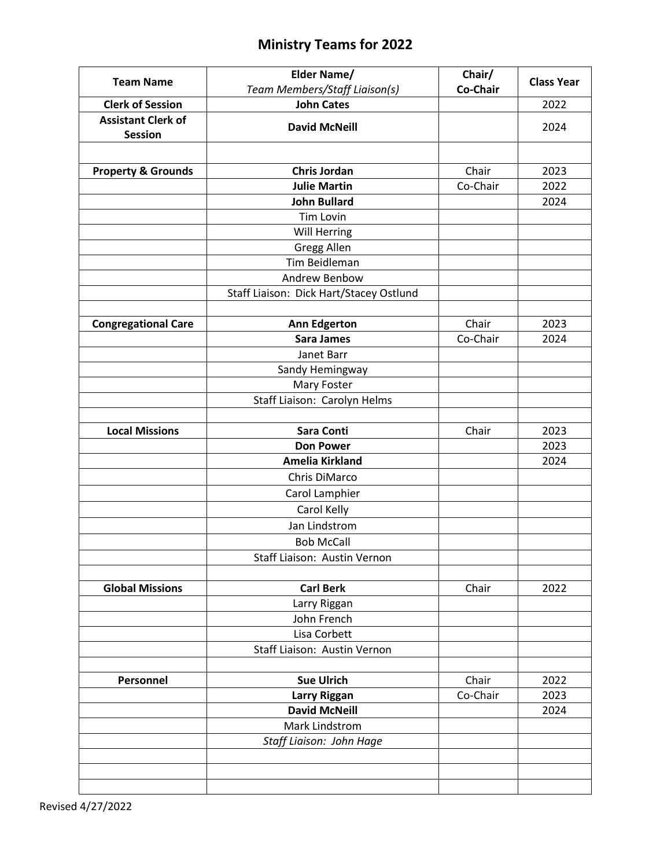## **Ministry Teams for 2022**

| <b>Team Name</b>                            | <b>Elder Name/</b>                      | Chair/   | <b>Class Year</b> |
|---------------------------------------------|-----------------------------------------|----------|-------------------|
|                                             | Team Members/Staff Liaison(s)           | Co-Chair |                   |
| <b>Clerk of Session</b>                     | <b>John Cates</b>                       |          | 2022              |
| <b>Assistant Clerk of</b><br><b>Session</b> | <b>David McNeill</b>                    |          | 2024              |
|                                             |                                         |          |                   |
| <b>Property &amp; Grounds</b>               | <b>Chris Jordan</b>                     | Chair    | 2023              |
|                                             | <b>Julie Martin</b>                     | Co-Chair | 2022              |
|                                             | <b>John Bullard</b>                     |          | 2024              |
|                                             | <b>Tim Lovin</b>                        |          |                   |
|                                             | Will Herring                            |          |                   |
|                                             | <b>Gregg Allen</b>                      |          |                   |
|                                             | Tim Beidleman                           |          |                   |
|                                             | Andrew Benbow                           |          |                   |
|                                             | Staff Liaison: Dick Hart/Stacey Ostlund |          |                   |
| <b>Congregational Care</b>                  | <b>Ann Edgerton</b>                     | Chair    | 2023              |
|                                             | <b>Sara James</b>                       | Co-Chair | 2024              |
|                                             | Janet Barr                              |          |                   |
|                                             | Sandy Hemingway                         |          |                   |
|                                             | Mary Foster                             |          |                   |
|                                             | Staff Liaison: Carolyn Helms            |          |                   |
|                                             |                                         |          |                   |
| <b>Local Missions</b>                       | <b>Sara Conti</b>                       | Chair    | 2023              |
|                                             | <b>Don Power</b>                        |          | 2023              |
|                                             | <b>Amelia Kirkland</b>                  |          | 2024              |
|                                             | Chris DiMarco                           |          |                   |
|                                             | Carol Lamphier                          |          |                   |
|                                             | Carol Kelly                             |          |                   |
|                                             | Jan Lindstrom                           |          |                   |
|                                             | <b>Bob McCall</b>                       |          |                   |
|                                             | Staff Liaison: Austin Vernon            |          |                   |
|                                             |                                         |          |                   |
| <b>Global Missions</b>                      | <b>Carl Berk</b>                        | Chair    | 2022              |
|                                             | Larry Riggan                            |          |                   |
|                                             | John French                             |          |                   |
|                                             | Lisa Corbett                            |          |                   |
|                                             | Staff Liaison: Austin Vernon            |          |                   |
|                                             |                                         |          |                   |
| Personnel                                   | <b>Sue Ulrich</b>                       | Chair    | 2022              |
|                                             | <b>Larry Riggan</b>                     | Co-Chair | 2023              |
|                                             | <b>David McNeill</b>                    |          | 2024              |
|                                             | Mark Lindstrom                          |          |                   |
|                                             | Staff Liaison: John Hage                |          |                   |
|                                             |                                         |          |                   |
|                                             |                                         |          |                   |
|                                             |                                         |          |                   |